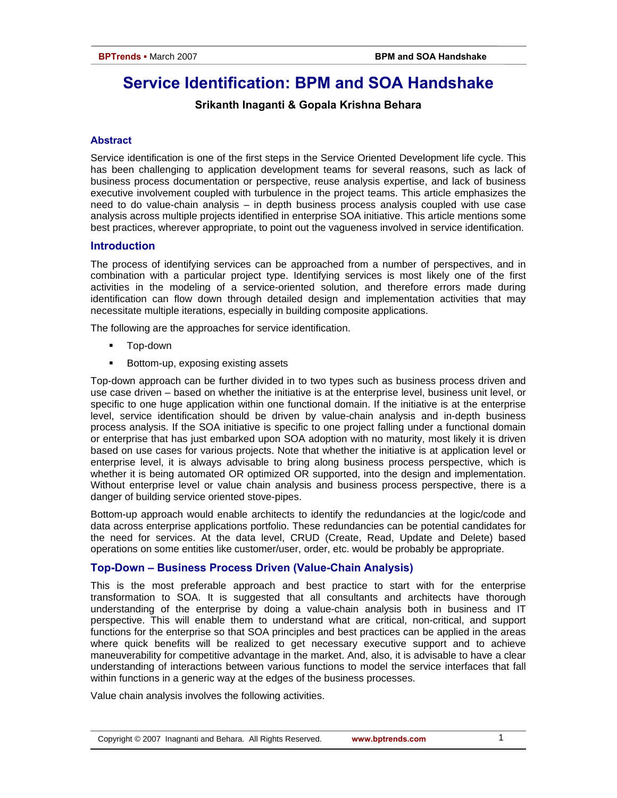# **Service Identification: BPM and SOA Handshake**

# **Srikanth Inaganti & Gopala Krishna Behara**

# **Abstract**

Service identification is one of the first steps in the Service Oriented Development life cycle. This has been challenging to application development teams for several reasons, such as lack of business process documentation or perspective, reuse analysis expertise, and lack of business executive involvement coupled with turbulence in the project teams. This article emphasizes the need to do value-chain analysis – in depth business process analysis coupled with use case analysis across multiple projects identified in enterprise SOA initiative. This article mentions some best practices, wherever appropriate, to point out the vagueness involved in service identification.

# **Introduction**

The process of identifying services can be approached from a number of perspectives, and in combination with a particular project type. Identifying services is most likely one of the first activities in the modeling of a service-oriented solution, and therefore errors made during identification can flow down through detailed design and implementation activities that may necessitate multiple iterations, especially in building composite applications.

The following are the approaches for service identification.

- Top-down
- Bottom-up, exposing existing assets

Top-down approach can be further divided in to two types such as business process driven and use case driven – based on whether the initiative is at the enterprise level, business unit level, or specific to one huge application within one functional domain. If the initiative is at the enterprise level, service identification should be driven by value-chain analysis and in-depth business process analysis. If the SOA initiative is specific to one project falling under a functional domain or enterprise that has just embarked upon SOA adoption with no maturity, most likely it is driven based on use cases for various projects. Note that whether the initiative is at application level or enterprise level, it is always advisable to bring along business process perspective, which is whether it is being automated OR optimized OR supported, into the design and implementation. Without enterprise level or value chain analysis and business process perspective, there is a danger of building service oriented stove-pipes.

Bottom-up approach would enable architects to identify the redundancies at the logic/code and data across enterprise applications portfolio. These redundancies can be potential candidates for the need for services. At the data level, CRUD (Create, Read, Update and Delete) based operations on some entities like customer/user, order, etc. would be probably be appropriate.

# **Top-Down – Business Process Driven (Value-Chain Analysis)**

This is the most preferable approach and best practice to start with for the enterprise transformation to SOA. It is suggested that all consultants and architects have thorough understanding of the enterprise by doing a value-chain analysis both in business and IT perspective. This will enable them to understand what are critical, non-critical, and support functions for the enterprise so that SOA principles and best practices can be applied in the areas where quick benefits will be realized to get necessary executive support and to achieve maneuverability for competitive advantage in the market. And, also, it is advisable to have a clear understanding of interactions between various functions to model the service interfaces that fall within functions in a generic way at the edges of the business processes.

Value chain analysis involves the following activities.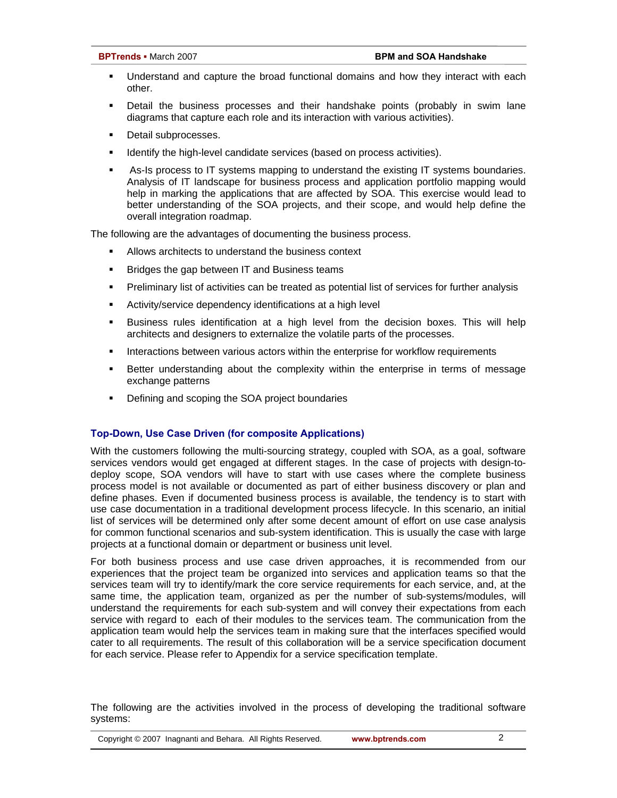- Understand and capture the broad functional domains and how they interact with each other.
- Detail the business processes and their handshake points (probably in swim lane diagrams that capture each role and its interaction with various activities).
- **Detail subprocesses.**
- **IDENTIFY 19** Identify the high-level candidate services (based on process activities).
- As-Is process to IT systems mapping to understand the existing IT systems boundaries. Analysis of IT landscape for business process and application portfolio mapping would help in marking the applications that are affected by SOA. This exercise would lead to better understanding of the SOA projects, and their scope, and would help define the overall integration roadmap.

The following are the advantages of documenting the business process.

- Allows architects to understand the business context
- Bridges the gap between IT and Business teams
- **Preliminary list of activities can be treated as potential list of services for further analysis**
- Activity/service dependency identifications at a high level
- Business rules identification at a high level from the decision boxes. This will help architects and designers to externalize the volatile parts of the processes.
- **Interactions between various actors within the enterprise for workflow requirements**
- Better understanding about the complexity within the enterprise in terms of message exchange patterns
- Defining and scoping the SOA project boundaries

# **Top-Down, Use Case Driven (for composite Applications)**

With the customers following the multi-sourcing strategy, coupled with SOA, as a goal, software services vendors would get engaged at different stages. In the case of projects with design-todeploy scope, SOA vendors will have to start with use cases where the complete business process model is not available or documented as part of either business discovery or plan and define phases. Even if documented business process is available, the tendency is to start with use case documentation in a traditional development process lifecycle. In this scenario, an initial list of services will be determined only after some decent amount of effort on use case analysis for common functional scenarios and sub-system identification. This is usually the case with large projects at a functional domain or department or business unit level.

For both business process and use case driven approaches, it is recommended from our experiences that the project team be organized into services and application teams so that the services team will try to identify/mark the core service requirements for each service, and, at the same time, the application team, organized as per the number of sub-systems/modules, will understand the requirements for each sub-system and will convey their expectations from each service with regard to each of their modules to the services team. The communication from the application team would help the services team in making sure that the interfaces specified would cater to all requirements. The result of this collaboration will be a service specification document for each service. Please refer to Appendix for a service specification template.

The following are the activities involved in the process of developing the traditional software systems: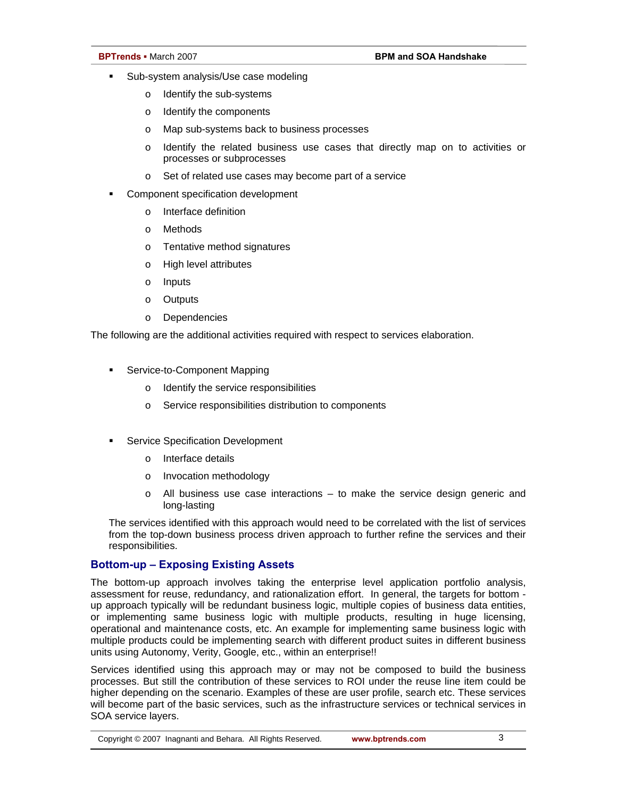- **Sub-system analysis/Use case modeling** 
	- o Identify the sub-systems
	- o Identify the components
	- o Map sub-systems back to business processes
	- o Identify the related business use cases that directly map on to activities or processes or subprocesses
	- o Set of related use cases may become part of a service
- Component specification development
	- o Interface definition
	- o Methods
	- o Tentative method signatures
	- o High level attributes
	- o Inputs
	- o Outputs
	- o Dependencies

The following are the additional activities required with respect to services elaboration.

- **Service-to-Component Mapping** 
	- o Identify the service responsibilities
	- o Service responsibilities distribution to components
- Service Specification Development
	- o Interface details
	- o Invocation methodology
	- $\circ$  All business use case interactions to make the service design generic and long-lasting

The services identified with this approach would need to be correlated with the list of services from the top-down business process driven approach to further refine the services and their responsibilities.

# **Bottom-up – Exposing Existing Assets**

The bottom-up approach involves taking the enterprise level application portfolio analysis, assessment for reuse, redundancy, and rationalization effort. In general, the targets for bottom up approach typically will be redundant business logic, multiple copies of business data entities, or implementing same business logic with multiple products, resulting in huge licensing, operational and maintenance costs, etc. An example for implementing same business logic with multiple products could be implementing search with different product suites in different business units using Autonomy, Verity, Google, etc., within an enterprise!!

Services identified using this approach may or may not be composed to build the business processes. But still the contribution of these services to ROI under the reuse line item could be higher depending on the scenario. Examples of these are user profile, search etc. These services will become part of the basic services, such as the infrastructure services or technical services in SOA service layers.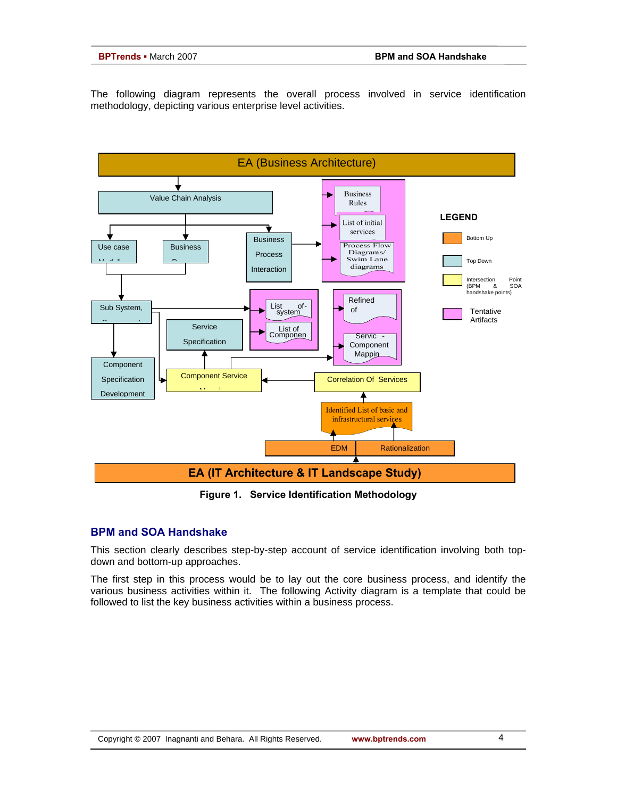The following diagram represents the overall process involved in service identification methodology, depicting various enterprise level activities.



**Figure 1. Service Identification Methodology**

# **BPM and SOA Handshake**

This section clearly describes step-by-step account of service identification involving both topdown and bottom-up approaches.

The first step in this process would be to lay out the core business process, and identify the various business activities within it. The following Activity diagram is a template that could be followed to list the key business activities within a business process.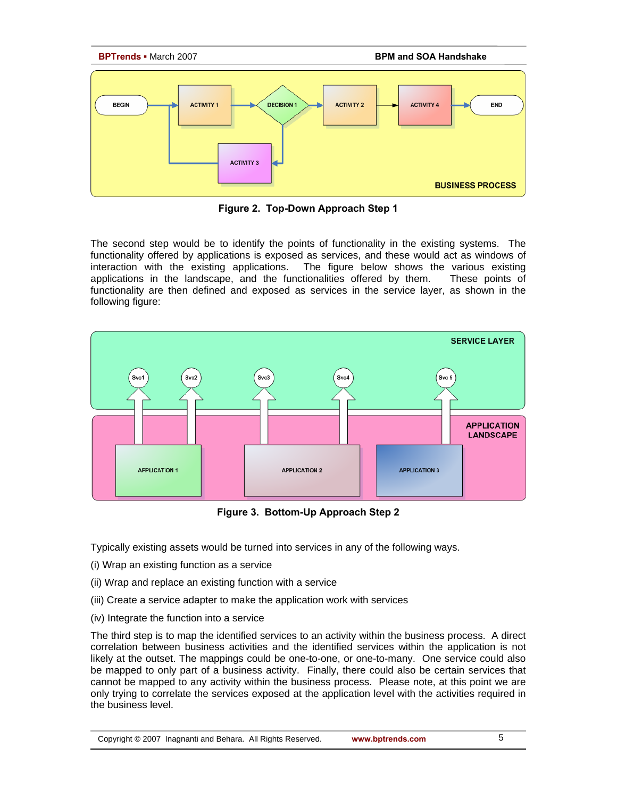

**Figure 2. Top-Down Approach Step 1**

The second step would be to identify the points of functionality in the existing systems. The functionality offered by applications is exposed as services, and these would act as windows of interaction with the existing applications. The figure below shows the various existing applications in the landscape, and the functionalities offered by them. These points of functionality are then defined and exposed as services in the service layer, as shown in the following figure:



**Figure 3. Bottom-Up Approach Step 2** 

Typically existing assets would be turned into services in any of the following ways.

- (i) Wrap an existing function as a service
- (ii) Wrap and replace an existing function with a service
- (iii) Create a service adapter to make the application work with services
- (iv) Integrate the function into a service

The third step is to map the identified services to an activity within the business process. A direct correlation between business activities and the identified services within the application is not likely at the outset. The mappings could be one-to-one, or one-to-many. One service could also be mapped to only part of a business activity. Finally, there could also be certain services that cannot be mapped to any activity within the business process. Please note, at this point we are only trying to correlate the services exposed at the application level with the activities required in the business level.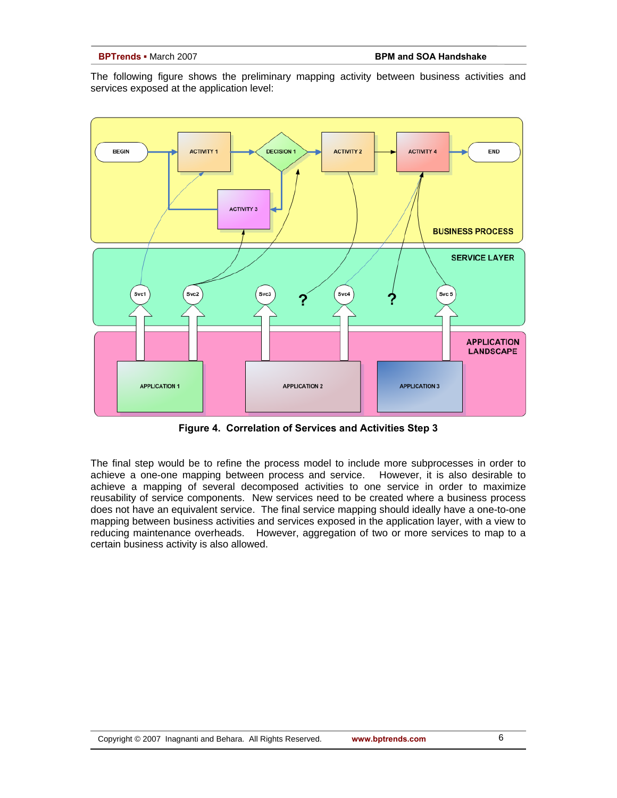The following figure shows the preliminary mapping activity between business activities and services exposed at the application level:



**Figure 4. Correlation of Services and Activities Step 3** 

The final step would be to refine the process model to include more subprocesses in order to achieve a one-one mapping between process and service. However, it is also desirable to achieve a mapping of several decomposed activities to one service in order to maximize reusability of service components. New services need to be created where a business process does not have an equivalent service. The final service mapping should ideally have a one-to-one mapping between business activities and services exposed in the application layer, with a view to reducing maintenance overheads. However, aggregation of two or more services to map to a certain business activity is also allowed.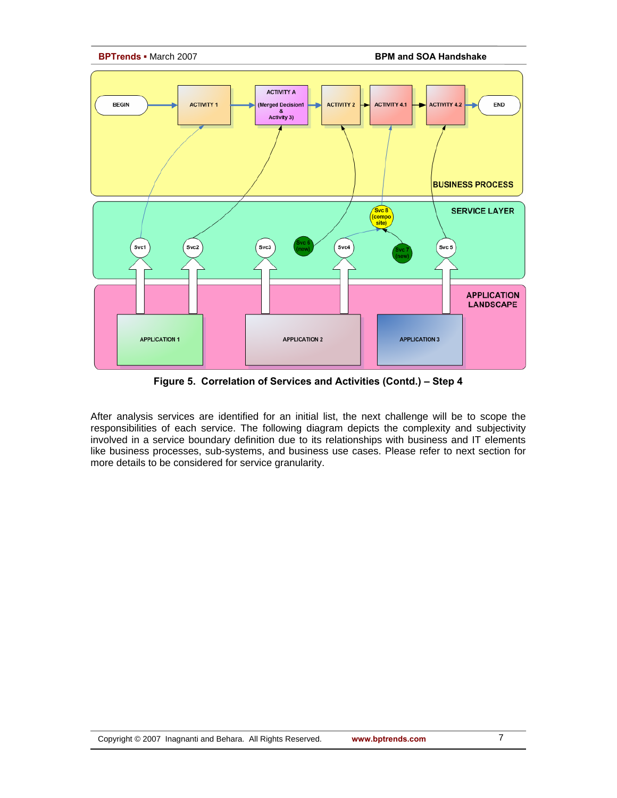

**BPTrends ▪** March 2007 **BPM and SOA Handshake**



**Figure 5. Correlation of Services and Activities (Contd.) – Step 4** 

After analysis services are identified for an initial list, the next challenge will be to scope the responsibilities of each service. The following diagram depicts the complexity and subjectivity involved in a service boundary definition due to its relationships with business and IT elements like business processes, sub-systems, and business use cases. Please refer to next section for more details to be considered for service granularity.

7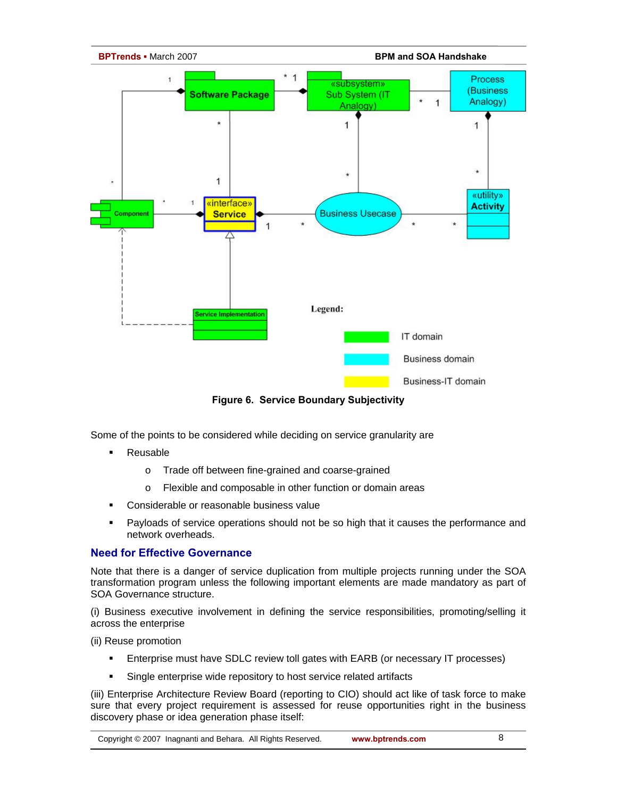

**Figure 6. Service Boundary Subjectivity**

Some of the points to be considered while deciding on service granularity are

- **Reusable** 
	- o Trade off between fine-grained and coarse-grained
	- o Flexible and composable in other function or domain areas
- Considerable or reasonable business value
- Payloads of service operations should not be so high that it causes the performance and network overheads.

# **Need for Effective Governance**

Note that there is a danger of service duplication from multiple projects running under the SOA transformation program unless the following important elements are made mandatory as part of SOA Governance structure.

(i) Business executive involvement in defining the service responsibilities, promoting/selling it across the enterprise

(ii) Reuse promotion

- Enterprise must have SDLC review toll gates with EARB (or necessary IT processes)
- **Single enterprise wide repository to host service related artifacts**

(iii) Enterprise Architecture Review Board (reporting to CIO) should act like of task force to make sure that every project requirement is assessed for reuse opportunities right in the business discovery phase or idea generation phase itself: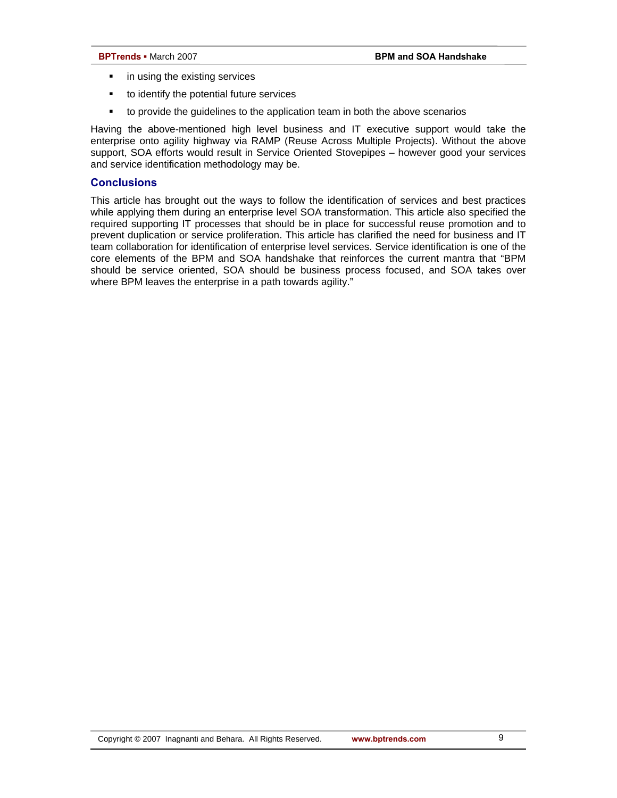- **i** in using the existing services
- to identify the potential future services
- to provide the guidelines to the application team in both the above scenarios

Having the above-mentioned high level business and IT executive support would take the enterprise onto agility highway via RAMP (Reuse Across Multiple Projects). Without the above support, SOA efforts would result in Service Oriented Stovepipes – however good your services and service identification methodology may be.

### **Conclusions**

This article has brought out the ways to follow the identification of services and best practices while applying them during an enterprise level SOA transformation. This article also specified the required supporting IT processes that should be in place for successful reuse promotion and to prevent duplication or service proliferation. This article has clarified the need for business and IT team collaboration for identification of enterprise level services. Service identification is one of the core elements of the BPM and SOA handshake that reinforces the current mantra that "BPM should be service oriented, SOA should be business process focused, and SOA takes over where BPM leaves the enterprise in a path towards agility."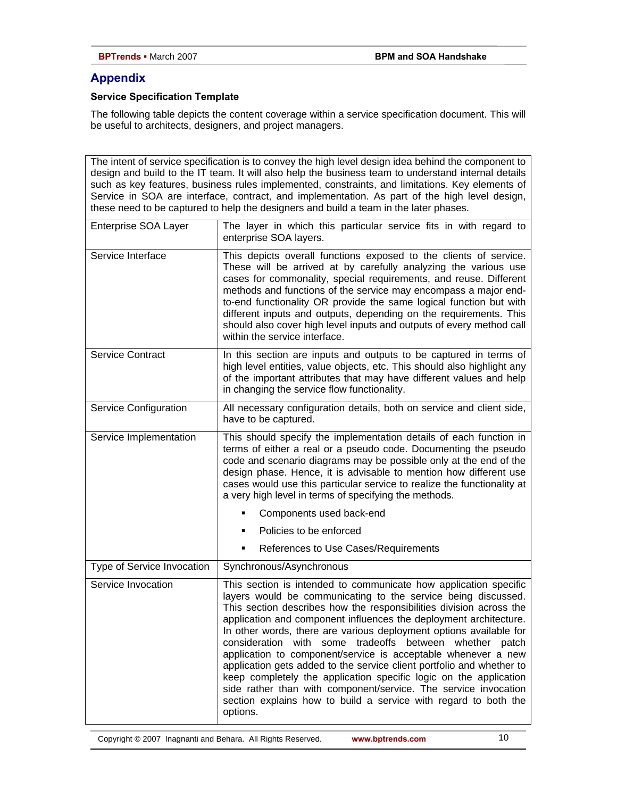# **Appendix**

# **Service Specification Template**

The following table depicts the content coverage within a service specification document. This will be useful to architects, designers, and project managers.

The intent of service specification is to convey the high level design idea behind the component to design and build to the IT team. It will also help the business team to understand internal details such as key features, business rules implemented, constraints, and limitations. Key elements of Service in SOA are interface, contract, and implementation. As part of the high level design, these need to be captured to help the designers and build a team in the later phases.

| Enterprise SOA Layer       | The layer in which this particular service fits in with regard to<br>enterprise SOA layers.                                                                                                                                                                                                                                                                                                                                                                                                                                                                                                                                                                                                                                                                                     |
|----------------------------|---------------------------------------------------------------------------------------------------------------------------------------------------------------------------------------------------------------------------------------------------------------------------------------------------------------------------------------------------------------------------------------------------------------------------------------------------------------------------------------------------------------------------------------------------------------------------------------------------------------------------------------------------------------------------------------------------------------------------------------------------------------------------------|
| Service Interface          | This depicts overall functions exposed to the clients of service.<br>These will be arrived at by carefully analyzing the various use<br>cases for commonality, special requirements, and reuse. Different<br>methods and functions of the service may encompass a major end-<br>to-end functionality OR provide the same logical function but with<br>different inputs and outputs, depending on the requirements. This<br>should also cover high level inputs and outputs of every method call<br>within the service interface.                                                                                                                                                                                                                                                |
| <b>Service Contract</b>    | In this section are inputs and outputs to be captured in terms of<br>high level entities, value objects, etc. This should also highlight any<br>of the important attributes that may have different values and help<br>in changing the service flow functionality.                                                                                                                                                                                                                                                                                                                                                                                                                                                                                                              |
| Service Configuration      | All necessary configuration details, both on service and client side,<br>have to be captured.                                                                                                                                                                                                                                                                                                                                                                                                                                                                                                                                                                                                                                                                                   |
| Service Implementation     | This should specify the implementation details of each function in<br>terms of either a real or a pseudo code. Documenting the pseudo<br>code and scenario diagrams may be possible only at the end of the<br>design phase. Hence, it is advisable to mention how different use<br>cases would use this particular service to realize the functionality at<br>a very high level in terms of specifying the methods.                                                                                                                                                                                                                                                                                                                                                             |
|                            | Components used back-end                                                                                                                                                                                                                                                                                                                                                                                                                                                                                                                                                                                                                                                                                                                                                        |
|                            | Policies to be enforced                                                                                                                                                                                                                                                                                                                                                                                                                                                                                                                                                                                                                                                                                                                                                         |
|                            | References to Use Cases/Requirements                                                                                                                                                                                                                                                                                                                                                                                                                                                                                                                                                                                                                                                                                                                                            |
| Type of Service Invocation | Synchronous/Asynchronous                                                                                                                                                                                                                                                                                                                                                                                                                                                                                                                                                                                                                                                                                                                                                        |
| Service Invocation         | This section is intended to communicate how application specific<br>layers would be communicating to the service being discussed.<br>This section describes how the responsibilities division across the<br>application and component influences the deployment architecture.<br>In other words, there are various deployment options available for<br>consideration with some tradeoffs between whether patch<br>application to component/service is acceptable whenever a new<br>application gets added to the service client portfolio and whether to<br>keep completely the application specific logic on the application<br>side rather than with component/service. The service invocation<br>section explains how to build a service with regard to both the<br>options. |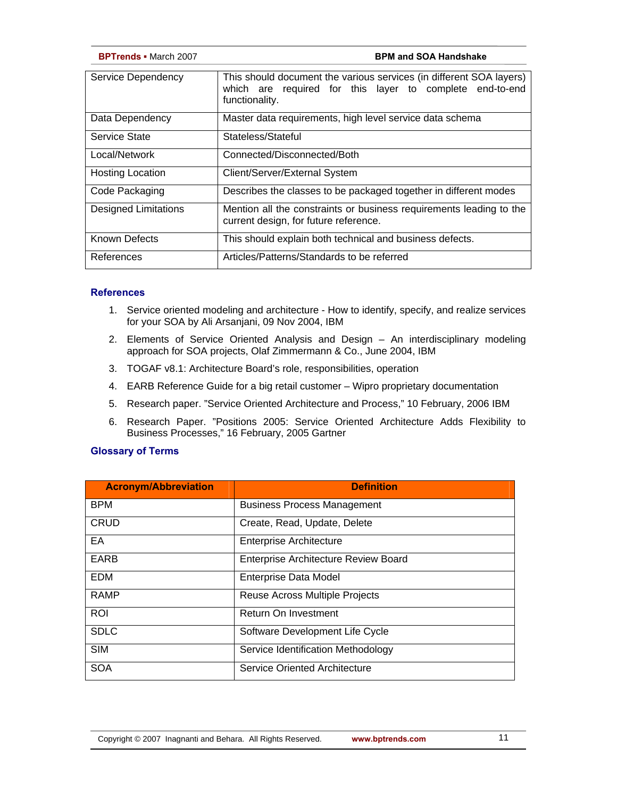| <b>BPTrends - March 2007</b> | <b>BPM and SOA Handshake</b>                                                                                                                      |
|------------------------------|---------------------------------------------------------------------------------------------------------------------------------------------------|
| Service Dependency           | This should document the various services (in different SOA layers)<br>which are required for this layer to complete end-to-end<br>functionality. |
| Data Dependency              | Master data requirements, high level service data schema                                                                                          |
| Service State                | Stateless/Stateful                                                                                                                                |
| Local/Network                | Connected/Disconnected/Both                                                                                                                       |
| <b>Hosting Location</b>      | Client/Server/External System                                                                                                                     |
| Code Packaging               | Describes the classes to be packaged together in different modes                                                                                  |
| Designed Limitations         | Mention all the constraints or business requirements leading to the<br>current design, for future reference.                                      |
| <b>Known Defects</b>         | This should explain both technical and business defects.                                                                                          |
| References                   | Articles/Patterns/Standards to be referred                                                                                                        |

### **References**

- 1. Service oriented modeling and architecture How to identify, specify, and realize services for your SOA by Ali Arsanjani, 09 Nov 2004, IBM
- 2. Elements of Service Oriented Analysis and Design An interdisciplinary modeling approach for SOA projects, Olaf Zimmermann & Co., June 2004, IBM
- 3. TOGAF v8.1: Architecture Board's role, responsibilities, operation
- 4. EARB Reference Guide for a big retail customer Wipro proprietary documentation
- 5. Research paper. "Service Oriented Architecture and Process," 10 February, 2006 IBM
- 6. Research Paper. "Positions 2005: Service Oriented Architecture Adds Flexibility to Business Processes," 16 February, 2005 Gartner

### **Glossary of Terms**

| <b>Acronym/Abbreviation</b> | <b>Definition</b>                           |
|-----------------------------|---------------------------------------------|
| <b>BPM</b>                  | <b>Business Process Management</b>          |
| <b>CRUD</b>                 | Create, Read, Update, Delete                |
| EA                          | <b>Enterprise Architecture</b>              |
| <b>EARB</b>                 | <b>Enterprise Architecture Review Board</b> |
| <b>EDM</b>                  | <b>Enterprise Data Model</b>                |
| <b>RAMP</b>                 | Reuse Across Multiple Projects              |
| <b>ROI</b>                  | Return On Investment                        |
| <b>SDLC</b>                 | Software Development Life Cycle             |
| <b>SIM</b>                  | Service Identification Methodology          |
| <b>SOA</b>                  | Service Oriented Architecture               |